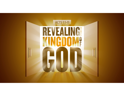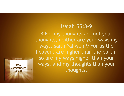## **Isaiah 55:8-9**

8 For my thoughts are not your thoughts, neither are your ways my ways, saith Yahweh.9 For as the heavens are higher than the earth, so are my ways higher than your ways, and my thoughts than your thoughts.

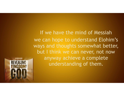If we have the mind of Messiah we can hope to understand Elohim's ways and thoughts somewhat better, but I think we can never, not now anyway achieve a complete understanding of them.

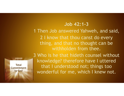## **Job 42:1-3**

1 Then Job answered Yahweh, and said, 2 I know that thou canst do every thing, and that no thought can be withholden from thee.

**Total Commitment to God**

3 Who is he that hideth counsel without knowledge? therefore have I uttered that I understood not; things too wonderful for me, which I knew not.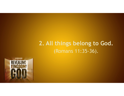# **2. All things belong to God.**  (Romans 11:35-36).

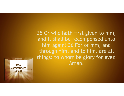35 Or who hath first given to him, and it shall be recompensed unto him again? 36 For of him, and through him, and to him, are all things: to whom be glory for ever. **Total Amen.** 

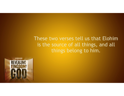These two verses tell us that Elohim is the source of all things, and all things belong to him.

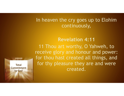## In heaven the cry goes up to Elohim continuously,

## **Revelation 4:11**

11 Thou art worthy, O Yahweh, to receive glory and honour and power: for thou hast created all things, and for thy pleasure they are and were created.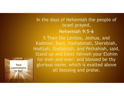## In the days of Nehemiah the people of Israel prayed, **Nehemiah 9:5-6**

5 Then the Levites, Jeshua, and Kadmiel, Bani, Hashabniah, Sherebiah, Hodijah, Shebaniah, and Pethahiah, said, Stand up and bless Yahweh your Elohim for ever and ever: and blessed be thy glorious name, which is exalted above all blessing and praise.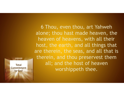6 Thou, even thou, art Yahweh alone; thou hast made heaven, the heaven of heavens, with all their host, the earth, and all things that are therein, the seas, and all that is therein, and thou preservest them all; and the host of heaven worshippeth thee.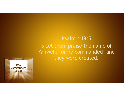## **Psalm 148:5**  5 Let them praise the name of Yahweh: for he commanded, and they were created.

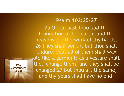## **Psalm 102:25-27**

25 Of old hast thou laid the foundation of the earth: and the heavens are the work of thy hands. 26 They shall perish, but thou shalt endure: yea, all of them shall wax old like a garment; as a vesture shalt thou change them, and they shall be changed:27 But thou art the same, and thy years shall have no end.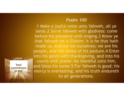#### **Psalm 100**

1 Make a joyful noise unto Yahweh, all ye lands.2 Serve Yahweh with gladness: come before his presence with singing.3 Know ye that Yahweh he is Elohim: it is he that hath made us, and not we ourselves; we are his people, and the sheep of his pasture.4 Enter into his gates with thanksgiving, and into his courts with praise: be thankful unto him, and bless his name.5 For Yahweh is good; his I mercy is everlasting; and his truth endureth to all generations.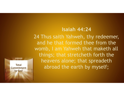## **Isaiah 44:24**

24 Thus saith Yahweh, thy redeemer, and he that formed thee from the womb, I am Yahweh that maketh all things; that stretcheth forth the heavens alone; that spreadeth abroad the earth by myself; **Total**